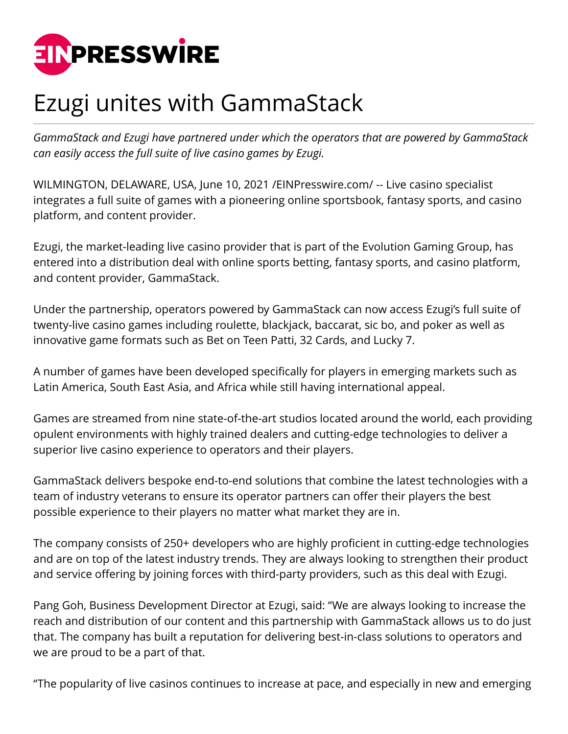

## Ezugi unites with GammaStack

*GammaStack and Ezugi have partnered under which the operators that are powered by GammaStack can easily access the full suite of live casino games by Ezugi.*

WILMINGTON, DELAWARE, USA, June 10, 2021 /[EINPresswire.com](http://www.einpresswire.com)/ -- Live casino specialist integrates a full suite of games with a pioneering online sportsbook, fantasy sports, and casino platform, and content provider.

Ezugi, the market-leading live casino provider that is part of the Evolution Gaming Group, has entered into a distribution deal with online sports betting, fantasy sports, and casino platform, and content provider, GammaStack.

Under the partnership, operators powered by GammaStack can now access Ezugi's full suite of twenty-live casino games including roulette, blackjack, baccarat, sic bo, and poker as well as innovative game formats such as Bet on Teen Patti, 32 Cards, and Lucky 7.

A number of games have been developed specifically for players in emerging markets such as Latin America, South East Asia, and Africa while still having international appeal.

Games are streamed from nine state-of-the-art studios located around the world, each providing opulent environments with highly trained dealers and cutting-edge technologies to deliver a superior live casino experience to operators and their players.

GammaStack delivers bespoke end-to-end solutions that combine the latest technologies with a team of industry veterans to ensure its operator partners can offer their players the best possible experience to their players no matter what market they are in.

The company consists of 250+ developers who are highly proficient in cutting-edge technologies and are on top of the latest industry trends. They are always looking to strengthen their product and service offering by joining forces with third-party providers, such as this deal with Ezugi.

Pang Goh, Business Development Director at Ezugi, said: "We are always looking to increase the reach and distribution of our content and this partnership with GammaStack allows us to do just that. The company has built a reputation for delivering best-in-class solutions to operators and we are proud to be a part of that.

"The popularity of live casinos continues to increase at pace, and especially in new and emerging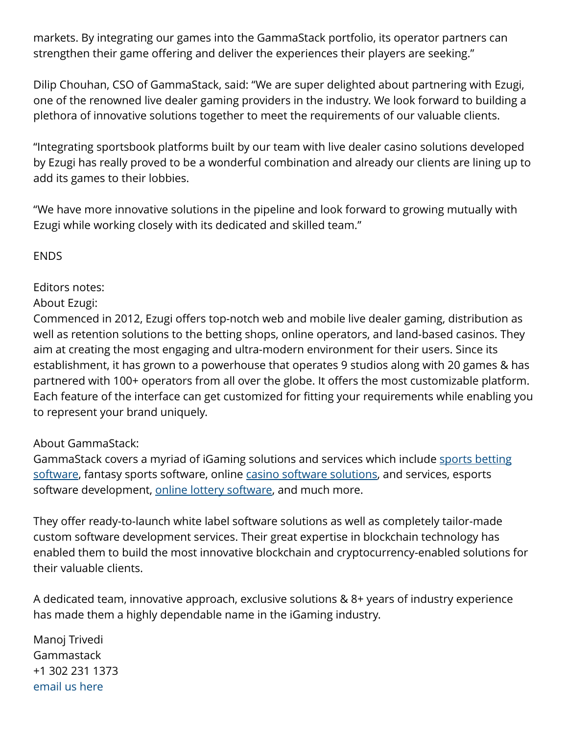markets. By integrating our games into the GammaStack portfolio, its operator partners can strengthen their game offering and deliver the experiences their players are seeking."

Dilip Chouhan, CSO of GammaStack, said: "We are super delighted about partnering with Ezugi, one of the renowned live dealer gaming providers in the industry. We look forward to building a plethora of innovative solutions together to meet the requirements of our valuable clients.

"Integrating sportsbook platforms built by our team with live dealer casino solutions developed by Ezugi has really proved to be a wonderful combination and already our clients are lining up to add its games to their lobbies.

"We have more innovative solutions in the pipeline and look forward to growing mutually with Ezugi while working closely with its dedicated and skilled team."

ENDS

## Editors notes:

## About Ezugi:

Commenced in 2012, Ezugi offers top-notch web and mobile live dealer gaming, distribution as well as retention solutions to the betting shops, online operators, and land-based casinos. They aim at creating the most engaging and ultra-modern environment for their users. Since its establishment, it has grown to a powerhouse that operates 9 studios along with 20 games & has partnered with 100+ operators from all over the globe. It offers the most customizable platform. Each feature of the interface can get customized for fitting your requirements while enabling you to represent your brand uniquely.

## About GammaStack:

GammaStack covers a myriad of iGaming solutions and services which include [sports betting](https://www.gammastack.com/sports-betting-software-development/) [software,](https://www.gammastack.com/sports-betting-software-development/) fantasy sports software, online [casino software solutions,](https://www.gammastack.com/online-casino-software-solutions/) and services, esports software development, [online lottery software](https://www.gammastack.com/online-lottery-software-development/), and much more.

They offer ready-to-launch white label software solutions as well as completely tailor-made custom software development services. Their great expertise in blockchain technology has enabled them to build the most innovative blockchain and cryptocurrency-enabled solutions for their valuable clients.

A dedicated team, innovative approach, exclusive solutions & 8+ years of industry experience has made them a highly dependable name in the iGaming industry.

Manoj Trivedi Gammastack +1 302 231 1373 [email us here](http://www.einpresswire.com/contact_author/3104717)